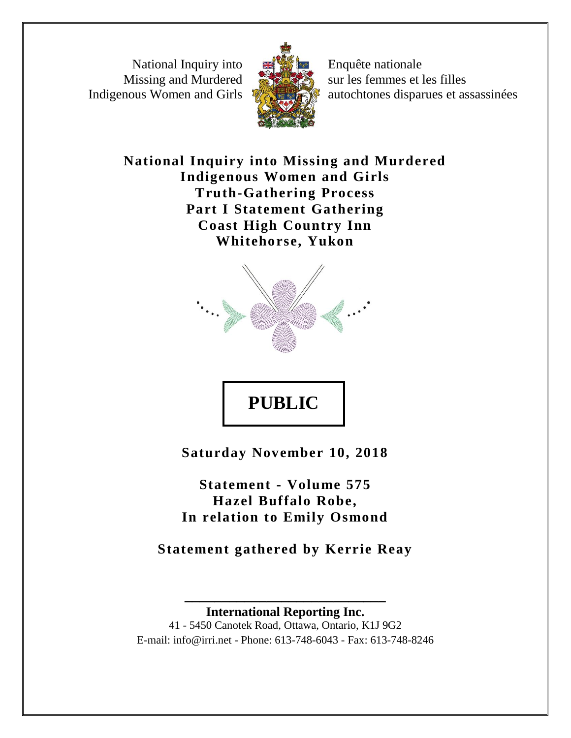National Inquiry into Missing and Murdered Indigenous Women and Girls



Enquête nationale sur les femmes et les filles autochtones disparues et assassinées

**National Inquiry into Missing and Murdered Indigenous Women and Girls Truth-Gathering Process Part I Statement Gathering Coast High Country Inn Whitehorse, Yukon**



**PUBLIC** 

**Saturday November 10, 2018**

**Statement - Volume 575 Hazel Buffalo Robe, In relation to Emily Osmond**

**Statement gathered by Kerrie Reay**

**\_\_\_\_\_\_\_\_\_\_\_\_\_\_\_\_\_\_\_\_\_\_\_\_\_\_\_ International Reporting Inc.** 41 - 5450 Canotek Road, Ottawa, Ontario, K1J 9G2 E-mail: info@irri.net - Phone: 613-748-6043 - Fax: 613-748-8246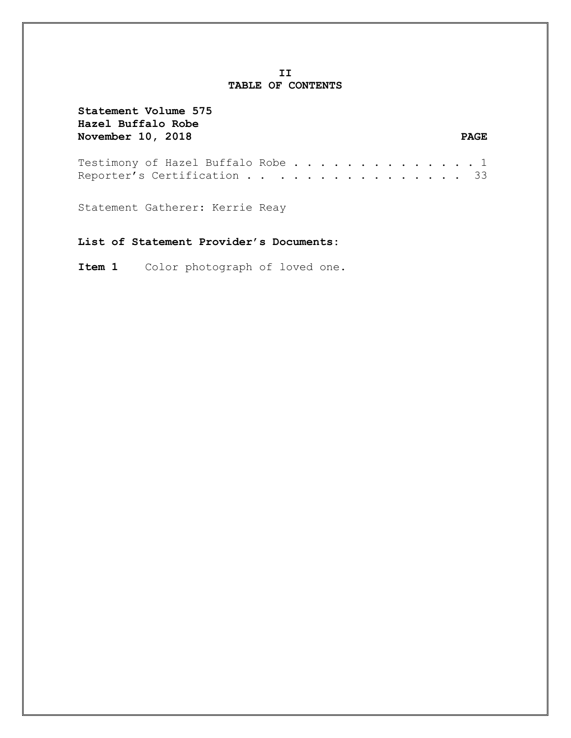### **II TABLE OF CONTENTS**

| Statement Volume 575<br>Hazel Buffalo Robe<br><b>November 10, 2018</b> |  |  |  |  |  |  |  | <b>PAGE</b> |
|------------------------------------------------------------------------|--|--|--|--|--|--|--|-------------|
| Testimony of Hazel Buffalo Robe 1<br>Reporter's Certification 33       |  |  |  |  |  |  |  |             |
| Statement Gatherer: Kerrie Reay                                        |  |  |  |  |  |  |  |             |

# **List of Statement Provider's Documents:**

**Item 1** Color photograph of loved one.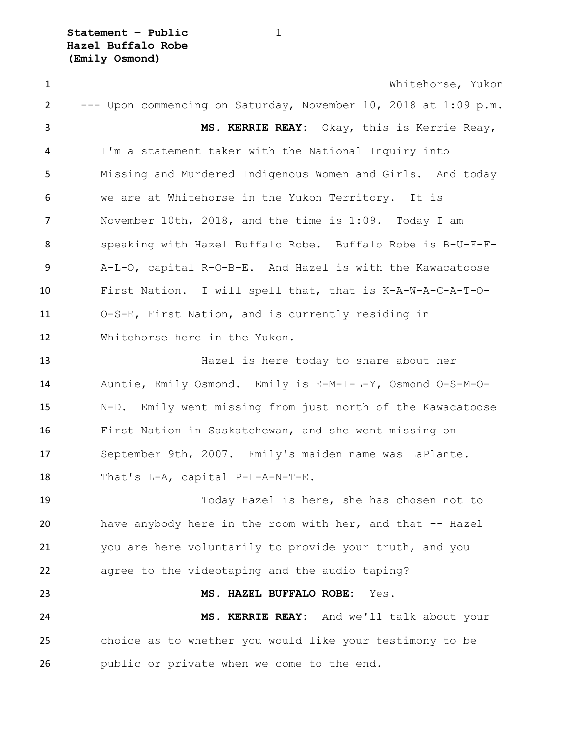**Statement – Public** 1 **Hazel Buffalo Robe (Emily Osmond)**

 Whitehorse, Yukon --- Upon commencing on Saturday, November 10, 2018 at 1:09 p.m. **MS. KERRIE REAY:** Okay, this is Kerrie Reay, I'm a statement taker with the National Inquiry into Missing and Murdered Indigenous Women and Girls. And today we are at Whitehorse in the Yukon Territory. It is November 10th, 2018, and the time is 1:09. Today I am speaking with Hazel Buffalo Robe. Buffalo Robe is B-U-F-F- A-L-O, capital R-O-B-E. And Hazel is with the Kawacatoose First Nation. I will spell that, that is K-A-W-A-C-A-T-O- O-S-E, First Nation, and is currently residing in Whitehorse here in the Yukon. Hazel is here today to share about her Auntie, Emily Osmond. Emily is E-M-I-L-Y, Osmond O-S-M-O- N-D. Emily went missing from just north of the Kawacatoose First Nation in Saskatchewan, and she went missing on September 9th, 2007. Emily's maiden name was LaPlante. That's L-A, capital P-L-A-N-T-E. Today Hazel is here, she has chosen not to have anybody here in the room with her, and that -- Hazel you are here voluntarily to provide your truth, and you agree to the videotaping and the audio taping? **MS. HAZEL BUFFALO ROBE:** Yes. **MS. KERRIE REAY:** And we'll talk about your choice as to whether you would like your testimony to be public or private when we come to the end.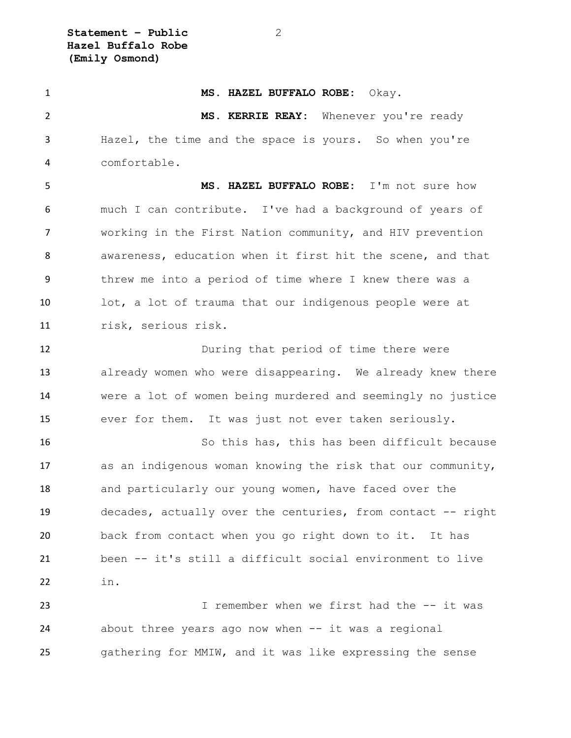**Statement – Public** 2 **Hazel Buffalo Robe (Emily Osmond)**

 **MS. HAZEL BUFFALO ROBE:** Okay. **MS. KERRIE REAY:** Whenever you're ready Hazel, the time and the space is yours. So when you're comfortable. **MS. HAZEL BUFFALO ROBE:** I'm not sure how much I can contribute. I've had a background of years of working in the First Nation community, and HIV prevention awareness, education when it first hit the scene, and that threw me into a period of time where I knew there was a lot, a lot of trauma that our indigenous people were at risk, serious risk. During that period of time there were already women who were disappearing. We already knew there were a lot of women being murdered and seemingly no justice ever for them. It was just not ever taken seriously. So this has, this has been difficult because as an indigenous woman knowing the risk that our community, and particularly our young women, have faced over the decades, actually over the centuries, from contact -- right back from contact when you go right down to it. It has been -- it's still a difficult social environment to live in. I remember when we first had the -- it was

 about three years ago now when -- it was a regional gathering for MMIW, and it was like expressing the sense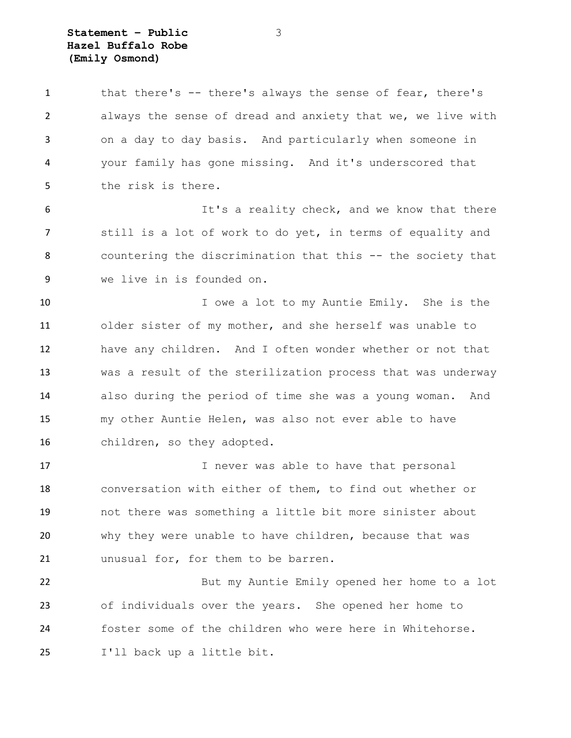### **Statement – Public** 3 **Hazel Buffalo Robe (Emily Osmond)**

 that there's -- there's always the sense of fear, there's always the sense of dread and anxiety that we, we live with on a day to day basis. And particularly when someone in your family has gone missing. And it's underscored that the risk is there. It's a reality check, and we know that there still is a lot of work to do yet, in terms of equality and countering the discrimination that this -- the society that we live in is founded on. 10 I owe a lot to my Auntie Emily. She is the older sister of my mother, and she herself was unable to have any children. And I often wonder whether or not that was a result of the sterilization process that was underway also during the period of time she was a young woman. And my other Auntie Helen, was also not ever able to have children, so they adopted. 17 17 I never was able to have that personal conversation with either of them, to find out whether or not there was something a little bit more sinister about why they were unable to have children, because that was unusual for, for them to be barren. But my Auntie Emily opened her home to a lot of individuals over the years. She opened her home to

 foster some of the children who were here in Whitehorse. I'll back up a little bit.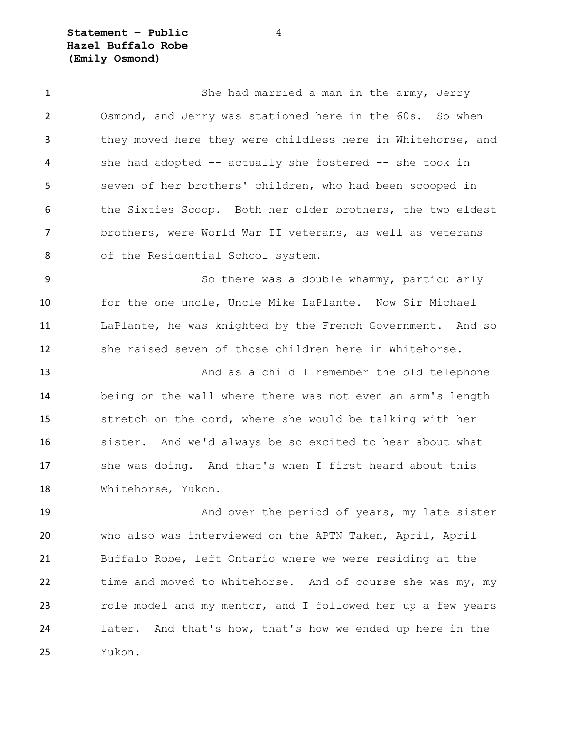**Statement – Public** 4 **Hazel Buffalo Robe (Emily Osmond)**

1 She had married a man in the army, Jerry Osmond, and Jerry was stationed here in the 60s. So when they moved here they were childless here in Whitehorse, and she had adopted -- actually she fostered -- she took in seven of her brothers' children, who had been scooped in the Sixties Scoop. Both her older brothers, the two eldest brothers, were World War II veterans, as well as veterans of the Residential School system.

 So there was a double whammy, particularly for the one uncle, Uncle Mike LaPlante. Now Sir Michael LaPlante, he was knighted by the French Government. And so she raised seven of those children here in Whitehorse.

 And as a child I remember the old telephone being on the wall where there was not even an arm's length stretch on the cord, where she would be talking with her sister. And we'd always be so excited to hear about what she was doing. And that's when I first heard about this Whitehorse, Yukon.

19 And over the period of years, my late sister who also was interviewed on the APTN Taken, April, April Buffalo Robe, left Ontario where we were residing at the 22 time and moved to Whitehorse. And of course she was my, my role model and my mentor, and I followed her up a few years later. And that's how, that's how we ended up here in the Yukon.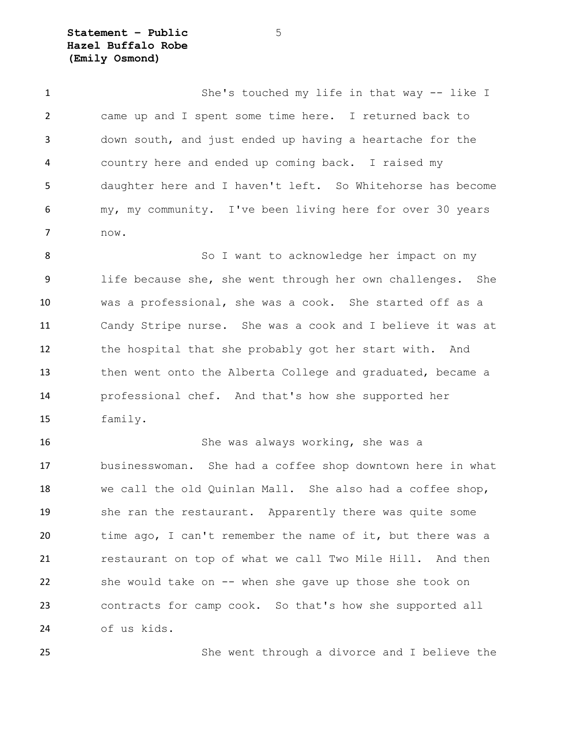**Statement – Public** 5 **Hazel Buffalo Robe (Emily Osmond)**

 She's touched my life in that way -- like I came up and I spent some time here. I returned back to down south, and just ended up having a heartache for the country here and ended up coming back. I raised my daughter here and I haven't left. So Whitehorse has become my, my community. I've been living here for over 30 years now.

8 So I want to acknowledge her impact on my life because she, she went through her own challenges. She was a professional, she was a cook. She started off as a Candy Stripe nurse. She was a cook and I believe it was at the hospital that she probably got her start with. And then went onto the Alberta College and graduated, became a professional chef. And that's how she supported her family.

 She was always working, she was a businesswoman. She had a coffee shop downtown here in what we call the old Quinlan Mall. She also had a coffee shop, she ran the restaurant. Apparently there was quite some time ago, I can't remember the name of it, but there was a restaurant on top of what we call Two Mile Hill. And then she would take on -- when she gave up those she took on contracts for camp cook. So that's how she supported all of us kids.

She went through a divorce and I believe the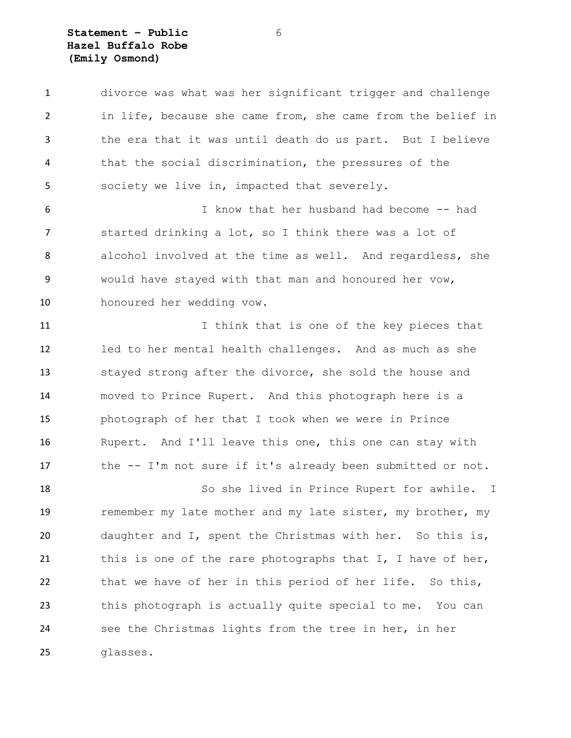### **Statement – Public** 6 **Hazel Buffalo Robe (Emily Osmond)**

 divorce was what was her significant trigger and challenge in life, because she came from, she came from the belief in the era that it was until death do us part. But I believe that the social discrimination, the pressures of the society we live in, impacted that severely.

 I know that her husband had become -- had started drinking a lot, so I think there was a lot of alcohol involved at the time as well. And regardless, she would have stayed with that man and honoured her vow, honoured her wedding vow.

11 11 I think that is one of the key pieces that led to her mental health challenges. And as much as she stayed strong after the divorce, she sold the house and moved to Prince Rupert. And this photograph here is a photograph of her that I took when we were in Prince Rupert. And I'll leave this one, this one can stay with the -- I'm not sure if it's already been submitted or not.

 So she lived in Prince Rupert for awhile. I 19 remember my late mother and my late sister, my brother, my daughter and I, spent the Christmas with her. So this is, 21 this is one of the rare photographs that I, I have of her, that we have of her in this period of her life. So this, this photograph is actually quite special to me. You can see the Christmas lights from the tree in her, in her glasses.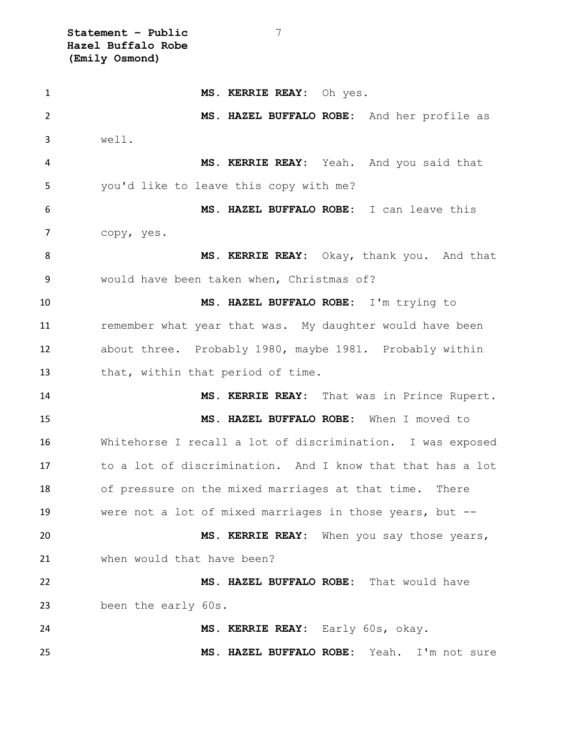**Statement – Public** 7 **Hazel Buffalo Robe (Emily Osmond)**

 **MS. KERRIE REAY:** Oh yes. **MS. HAZEL BUFFALO ROBE:** And her profile as well. **MS. KERRIE REAY:** Yeah. And you said that you'd like to leave this copy with me? **MS. HAZEL BUFFALO ROBE:** I can leave this copy, yes. 8 MS. KERRIE REAY: Okay, thank you. And that would have been taken when, Christmas of? **MS. HAZEL BUFFALO ROBE:** I'm trying to **remember what year that was.** My daughter would have been about three. Probably 1980, maybe 1981. Probably within 13 that, within that period of time. **MS. KERRIE REAY:** That was in Prince Rupert. **MS. HAZEL BUFFALO ROBE:** When I moved to Whitehorse I recall a lot of discrimination. I was exposed to a lot of discrimination. And I know that that has a lot of pressure on the mixed marriages at that time. There were not a lot of mixed marriages in those years, but -- **MS. KERRIE REAY:** When you say those years, when would that have been? **MS. HAZEL BUFFALO ROBE:** That would have been the early 60s. **MS. KERRIE REAY:** Early 60s, okay. **MS. HAZEL BUFFALO ROBE:** Yeah. I'm not sure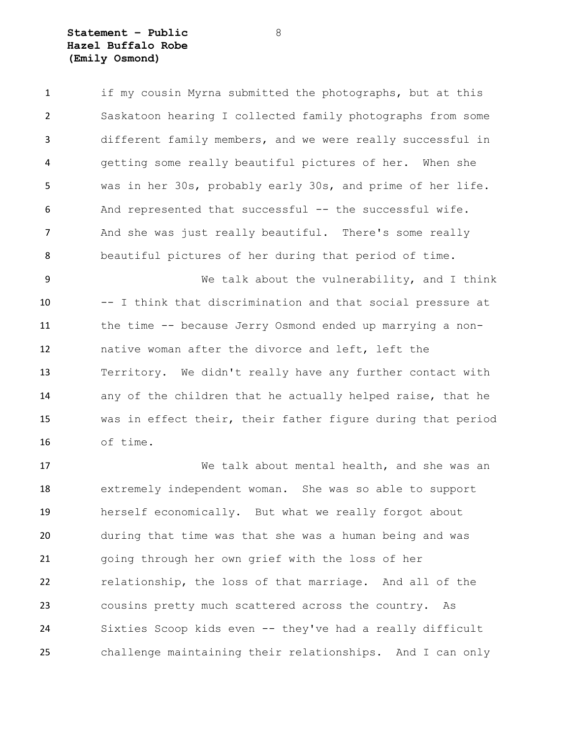### **Statement – Public** 8 **Hazel Buffalo Robe (Emily Osmond)**

 if my cousin Myrna submitted the photographs, but at this Saskatoon hearing I collected family photographs from some different family members, and we were really successful in getting some really beautiful pictures of her. When she was in her 30s, probably early 30s, and prime of her life. And represented that successful -- the successful wife. And she was just really beautiful. There's some really beautiful pictures of her during that period of time.

 We talk about the vulnerability, and I think -- I think that discrimination and that social pressure at the time -- because Jerry Osmond ended up marrying a non- native woman after the divorce and left, left the Territory. We didn't really have any further contact with any of the children that he actually helped raise, that he was in effect their, their father figure during that period of time.

 We talk about mental health, and she was an extremely independent woman. She was so able to support herself economically. But what we really forgot about during that time was that she was a human being and was going through her own grief with the loss of her relationship, the loss of that marriage. And all of the cousins pretty much scattered across the country. As Sixties Scoop kids even -- they've had a really difficult challenge maintaining their relationships. And I can only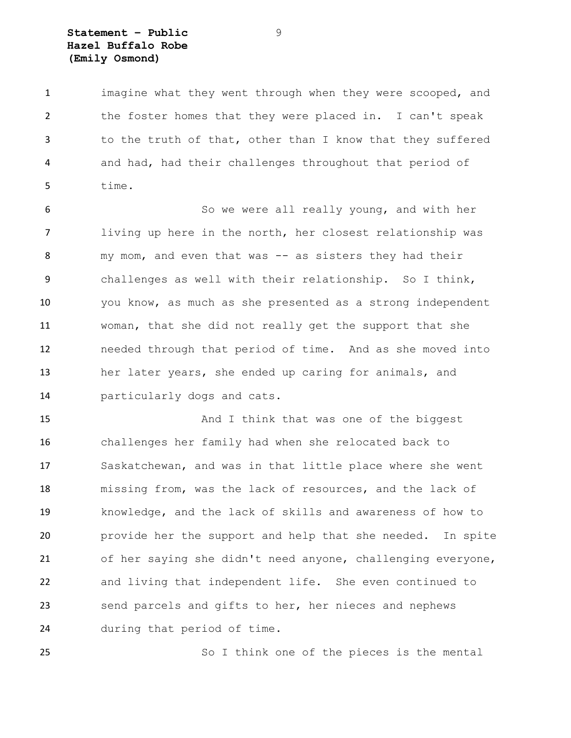# **Statement – Public** 9 **Hazel Buffalo Robe (Emily Osmond)**

 imagine what they went through when they were scooped, and the foster homes that they were placed in. I can't speak to the truth of that, other than I know that they suffered and had, had their challenges throughout that period of time.

 So we were all really young, and with her living up here in the north, her closest relationship was 8 my mom, and even that was -- as sisters they had their challenges as well with their relationship. So I think, you know, as much as she presented as a strong independent woman, that she did not really get the support that she needed through that period of time. And as she moved into her later years, she ended up caring for animals, and particularly dogs and cats.

15 And I think that was one of the biggest challenges her family had when she relocated back to Saskatchewan, and was in that little place where she went missing from, was the lack of resources, and the lack of knowledge, and the lack of skills and awareness of how to provide her the support and help that she needed. In spite of her saying she didn't need anyone, challenging everyone, and living that independent life. She even continued to send parcels and gifts to her, her nieces and nephews during that period of time.

So I think one of the pieces is the mental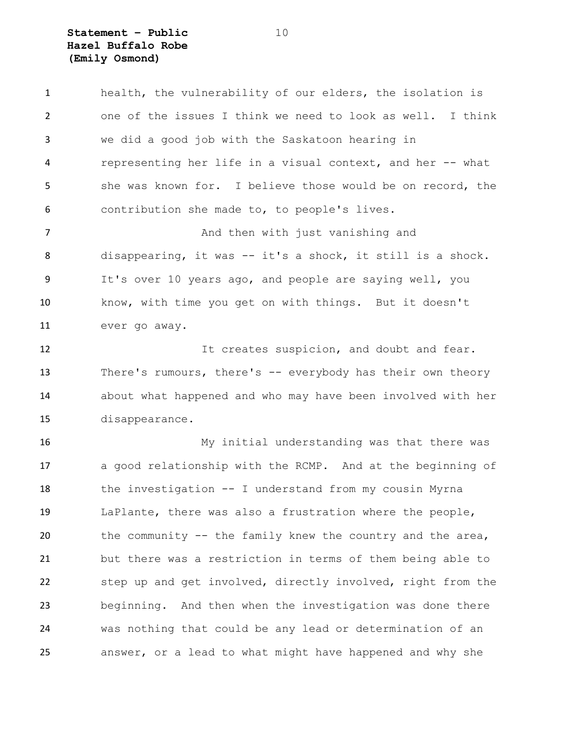**Statement – Public** 10 **Hazel Buffalo Robe (Emily Osmond)**

 health, the vulnerability of our elders, the isolation is one of the issues I think we need to look as well. I think we did a good job with the Saskatoon hearing in representing her life in a visual context, and her -- what 5 she was known for. I believe those would be on record, the contribution she made to, to people's lives. **And then with just vanishing and**  disappearing, it was -- it's a shock, it still is a shock. It's over 10 years ago, and people are saying well, you know, with time you get on with things. But it doesn't ever go away. 12 It creates suspicion, and doubt and fear. There's rumours, there's -- everybody has their own theory about what happened and who may have been involved with her disappearance. My initial understanding was that there was a good relationship with the RCMP. And at the beginning of the investigation -- I understand from my cousin Myrna LaPlante, there was also a frustration where the people, 20 the community -- the family knew the country and the area, but there was a restriction in terms of them being able to step up and get involved, directly involved, right from the beginning. And then when the investigation was done there was nothing that could be any lead or determination of an answer, or a lead to what might have happened and why she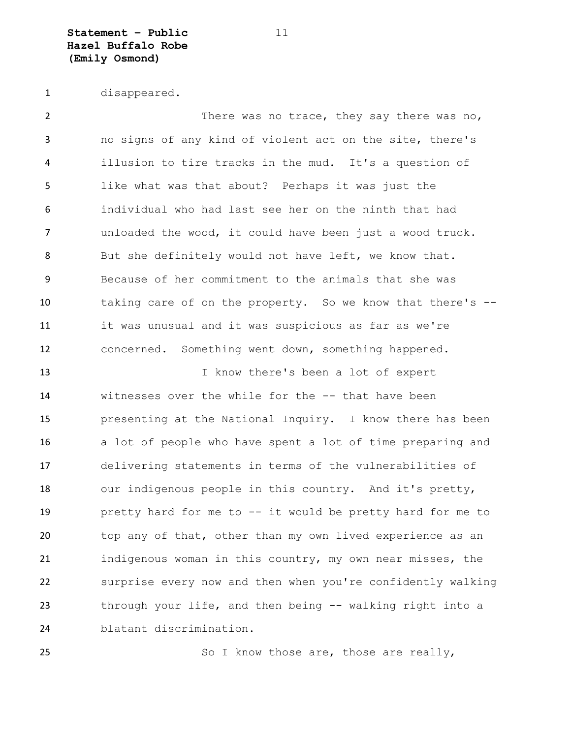**Statement – Public** 11 **Hazel Buffalo Robe (Emily Osmond)**

disappeared.

2 There was no trace, they say there was no, no signs of any kind of violent act on the site, there's illusion to tire tracks in the mud. It's a question of like what was that about? Perhaps it was just the individual who had last see her on the ninth that had unloaded the wood, it could have been just a wood truck. 8 But she definitely would not have left, we know that. Because of her commitment to the animals that she was taking care of on the property. So we know that there's -- it was unusual and it was suspicious as far as we're concerned. Something went down, something happened.

13 13 I know there's been a lot of expert witnesses over the while for the -- that have been presenting at the National Inquiry. I know there has been a lot of people who have spent a lot of time preparing and delivering statements in terms of the vulnerabilities of our indigenous people in this country. And it's pretty, pretty hard for me to -- it would be pretty hard for me to top any of that, other than my own lived experience as an indigenous woman in this country, my own near misses, the surprise every now and then when you're confidently walking through your life, and then being -- walking right into a blatant discrimination.

25 So I know those are, those are really,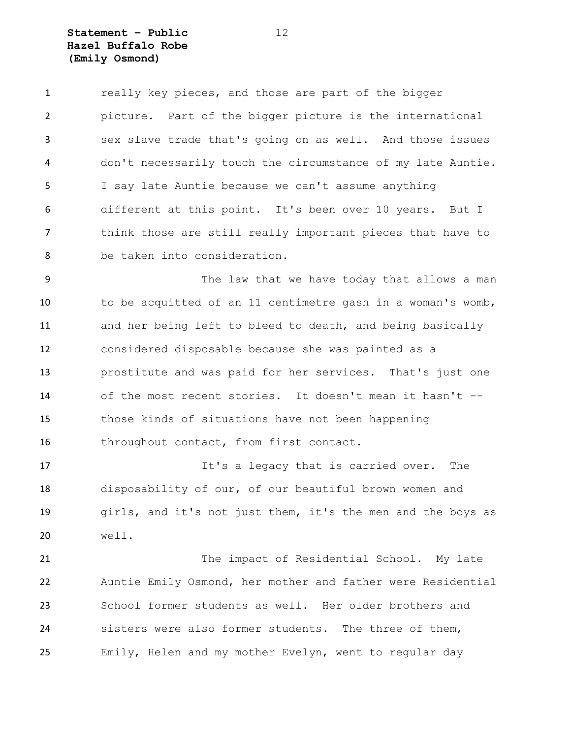**Statement – Public** 12 **Hazel Buffalo Robe (Emily Osmond)**

1 really key pieces, and those are part of the bigger picture. Part of the bigger picture is the international sex slave trade that's going on as well. And those issues don't necessarily touch the circumstance of my late Auntie. I say late Auntie because we can't assume anything different at this point. It's been over 10 years. But I think those are still really important pieces that have to be taken into consideration.

 The law that we have today that allows a man to be acquitted of an 11 centimetre gash in a woman's womb, and her being left to bleed to death, and being basically considered disposable because she was painted as a prostitute and was paid for her services. That's just one of the most recent stories. It doesn't mean it hasn't -- those kinds of situations have not been happening 16 throughout contact, from first contact.

17 17 It's a legacy that is carried over. The disposability of our, of our beautiful brown women and girls, and it's not just them, it's the men and the boys as well.

21 The impact of Residential School. My late Auntie Emily Osmond, her mother and father were Residential School former students as well. Her older brothers and sisters were also former students. The three of them, Emily, Helen and my mother Evelyn, went to regular day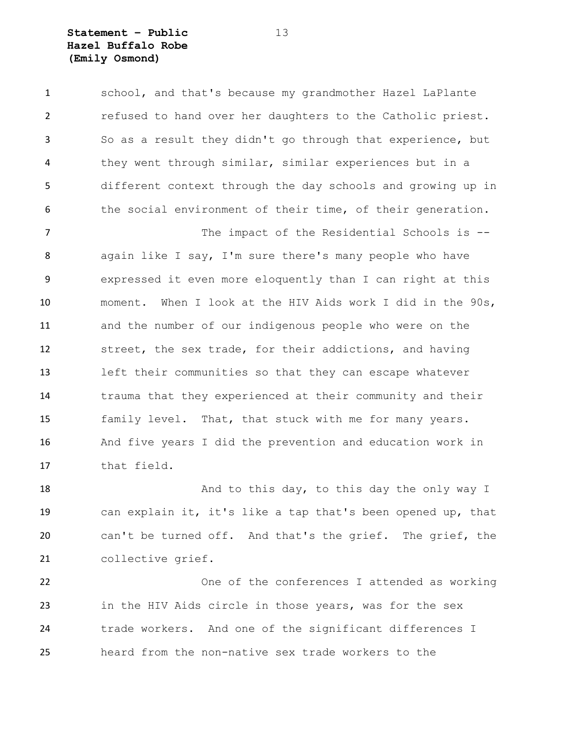## **Statement – Public** 13 **Hazel Buffalo Robe (Emily Osmond)**

 school, and that's because my grandmother Hazel LaPlante refused to hand over her daughters to the Catholic priest. So as a result they didn't go through that experience, but they went through similar, similar experiences but in a different context through the day schools and growing up in the social environment of their time, of their generation.

7 The impact of the Residential Schools is -- again like I say, I'm sure there's many people who have expressed it even more eloquently than I can right at this moment. When I look at the HIV Aids work I did in the 90s, and the number of our indigenous people who were on the street, the sex trade, for their addictions, and having left their communities so that they can escape whatever trauma that they experienced at their community and their family level. That, that stuck with me for many years. And five years I did the prevention and education work in that field.

18 And to this day, to this day the only way I can explain it, it's like a tap that's been opened up, that can't be turned off. And that's the grief. The grief, the collective grief.

 One of the conferences I attended as working in the HIV Aids circle in those years, was for the sex trade workers. And one of the significant differences I heard from the non-native sex trade workers to the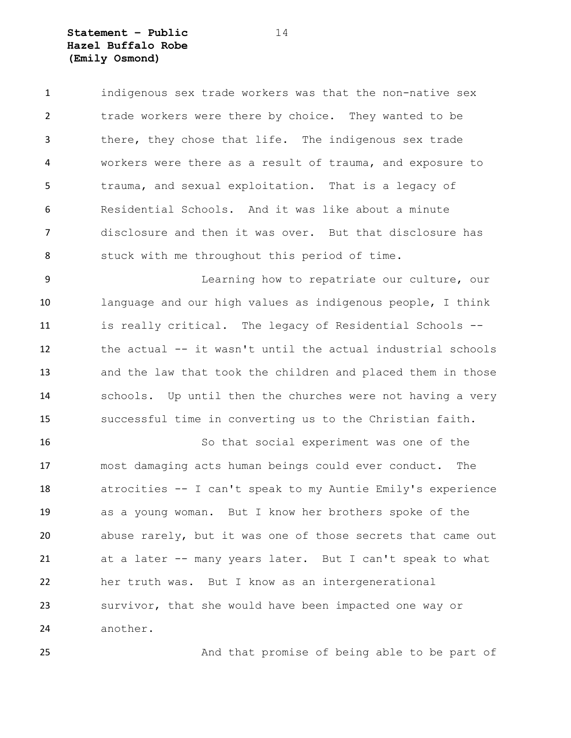# **Statement – Public** 14 **Hazel Buffalo Robe (Emily Osmond)**

 indigenous sex trade workers was that the non-native sex trade workers were there by choice. They wanted to be there, they chose that life. The indigenous sex trade workers were there as a result of trauma, and exposure to trauma, and sexual exploitation. That is a legacy of Residential Schools. And it was like about a minute disclosure and then it was over. But that disclosure has stuck with me throughout this period of time.

 Learning how to repatriate our culture, our language and our high values as indigenous people, I think is really critical. The legacy of Residential Schools -- the actual -- it wasn't until the actual industrial schools and the law that took the children and placed them in those schools. Up until then the churches were not having a very successful time in converting us to the Christian faith.

 So that social experiment was one of the most damaging acts human beings could ever conduct. The atrocities -- I can't speak to my Auntie Emily's experience as a young woman. But I know her brothers spoke of the abuse rarely, but it was one of those secrets that came out at a later -- many years later. But I can't speak to what her truth was. But I know as an intergenerational survivor, that she would have been impacted one way or another.

25 And that promise of being able to be part of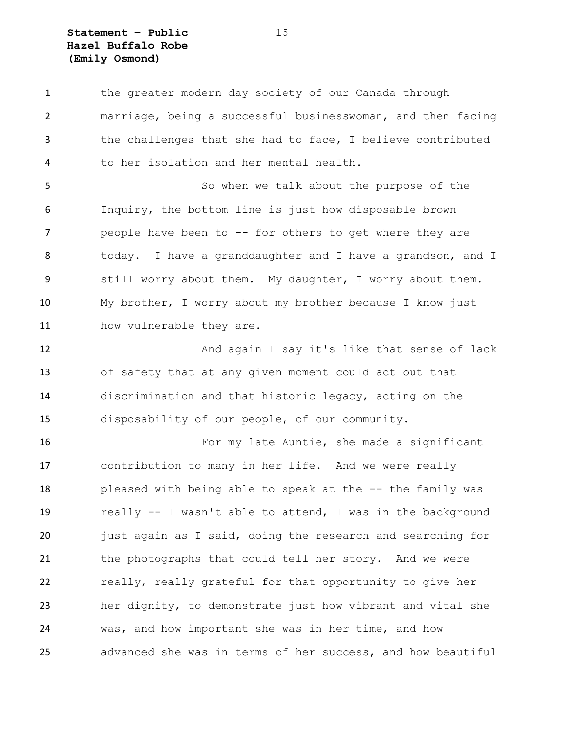**Statement – Public** 15 **Hazel Buffalo Robe (Emily Osmond)**

 the greater modern day society of our Canada through marriage, being a successful businesswoman, and then facing the challenges that she had to face, I believe contributed to her isolation and her mental health.

 So when we talk about the purpose of the Inquiry, the bottom line is just how disposable brown 7 people have been to -- for others to get where they are today. I have a granddaughter and I have a grandson, and I still worry about them. My daughter, I worry about them. My brother, I worry about my brother because I know just how vulnerable they are.

 And again I say it's like that sense of lack of safety that at any given moment could act out that discrimination and that historic legacy, acting on the disposability of our people, of our community.

 For my late Auntie, she made a significant contribution to many in her life. And we were really pleased with being able to speak at the -- the family was really -- I wasn't able to attend, I was in the background just again as I said, doing the research and searching for the photographs that could tell her story. And we were really, really grateful for that opportunity to give her her dignity, to demonstrate just how vibrant and vital she was, and how important she was in her time, and how advanced she was in terms of her success, and how beautiful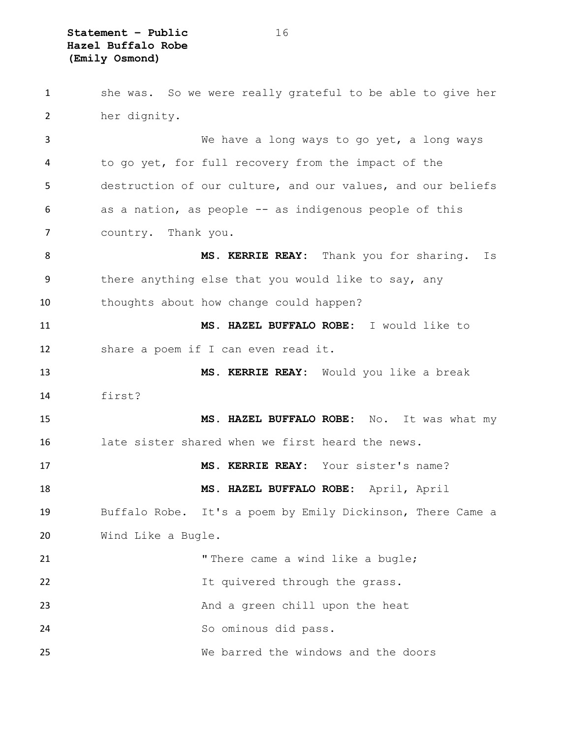**Statement – Public** 16 **Hazel Buffalo Robe (Emily Osmond)**

 she was. So we were really grateful to be able to give her her dignity. We have a long ways to go yet, a long ways to go yet, for full recovery from the impact of the destruction of our culture, and our values, and our beliefs as a nation, as people -- as indigenous people of this country. Thank you. 8 MS. KERRIE REAY: Thank you for sharing. Is there anything else that you would like to say, any thoughts about how change could happen? **MS. HAZEL BUFFALO ROBE:** I would like to share a poem if I can even read it. **MS. KERRIE REAY:** Would you like a break first? **MS. HAZEL BUFFALO ROBE:** No. It was what my late sister shared when we first heard the news. **MS. KERRIE REAY:** Your sister's name? **MS. HAZEL BUFFALO ROBE:** April, April Buffalo Robe. It's a poem by Emily Dickinson, There Came a Wind Like a Bugle. 21 There came a wind like a bugle; It quivered through the grass. And a green chill upon the heat So ominous did pass. We barred the windows and the doors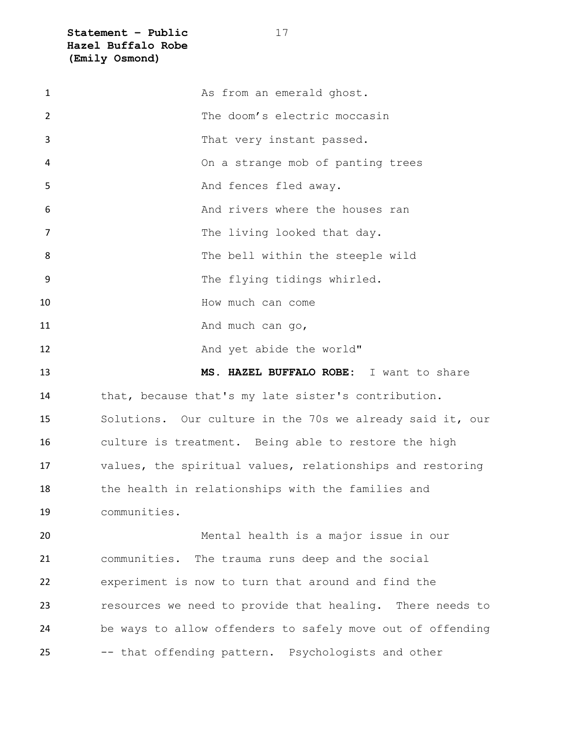**Statement – Public** 17 **Hazel Buffalo Robe (Emily Osmond)**

| $\mathbf{1}$ | As from an emerald ghost.                                  |
|--------------|------------------------------------------------------------|
| 2            | The doom's electric moccasin                               |
| 3            | That very instant passed.                                  |
| 4            | On a strange mob of panting trees                          |
| 5            | And fences fled away.                                      |
| 6            | And rivers where the houses ran                            |
| 7            | The living looked that day.                                |
| 8            | The bell within the steeple wild                           |
| 9            | The flying tidings whirled.                                |
| 10           | How much can come                                          |
| 11           | And much can go,                                           |
| 12           | And yet abide the world"                                   |
| 13           | MS. HAZEL BUFFALO ROBE: I want to share                    |
| 14           | that, because that's my late sister's contribution.        |
| 15           | Solutions. Our culture in the 70s we already said it, our  |
| 16           | culture is treatment. Being able to restore the high       |
| 17           | values, the spiritual values, relationships and restoring  |
| 18           | the health in relationships with the families and          |
| 19           | communities.                                               |
| 20           | Mental health is a major issue in our                      |
| 21           | communities. The trauma runs deep and the social           |
| 22           | experiment is now to turn that around and find the         |
| 23           | resources we need to provide that healing. There needs to  |
| 24           | be ways to allow offenders to safely move out of offending |
| 25           | -- that offending pattern. Psychologists and other         |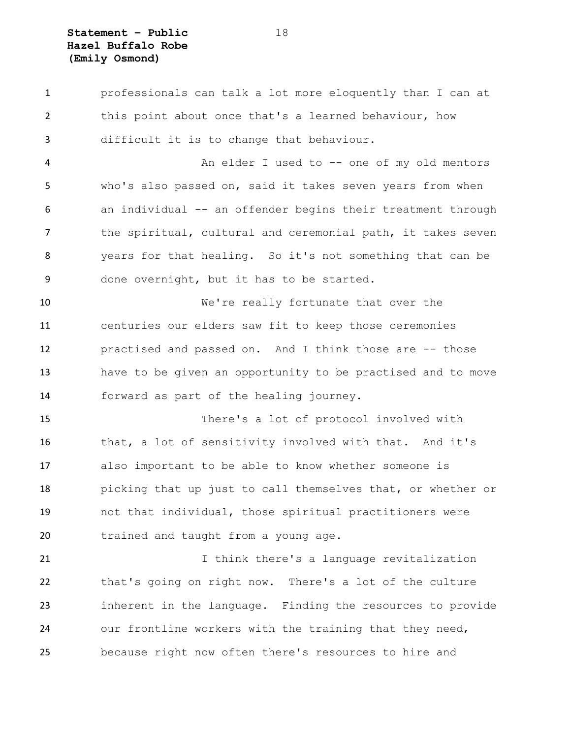**Statement – Public** 18 **Hazel Buffalo Robe (Emily Osmond)**

 professionals can talk a lot more eloquently than I can at this point about once that's a learned behaviour, how difficult it is to change that behaviour.

 An elder I used to -- one of my old mentors who's also passed on, said it takes seven years from when an individual -- an offender begins their treatment through 7 the spiritual, cultural and ceremonial path, it takes seven years for that healing. So it's not something that can be done overnight, but it has to be started.

 We're really fortunate that over the centuries our elders saw fit to keep those ceremonies practised and passed on. And I think those are -- those have to be given an opportunity to be practised and to move forward as part of the healing journey.

 There's a lot of protocol involved with that, a lot of sensitivity involved with that. And it's also important to be able to know whether someone is picking that up just to call themselves that, or whether or not that individual, those spiritual practitioners were trained and taught from a young age.

 I think there's a language revitalization that's going on right now. There's a lot of the culture inherent in the language. Finding the resources to provide our frontline workers with the training that they need, because right now often there's resources to hire and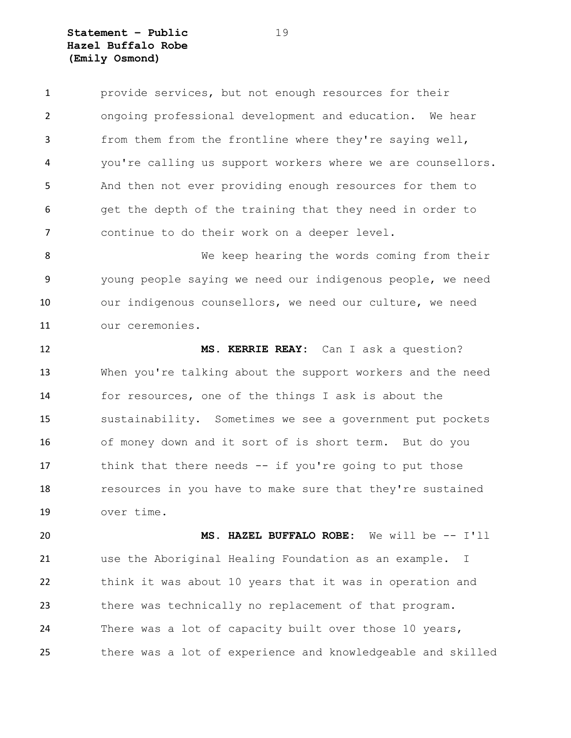**Statement – Public** 19 **Hazel Buffalo Robe (Emily Osmond)**

 provide services, but not enough resources for their ongoing professional development and education. We hear from them from the frontline where they're saying well, you're calling us support workers where we are counsellors. And then not ever providing enough resources for them to get the depth of the training that they need in order to continue to do their work on a deeper level.

8 We keep hearing the words coming from their young people saying we need our indigenous people, we need 10 our indigenous counsellors, we need our culture, we need our ceremonies.

 **MS. KERRIE REAY:** Can I ask a question? When you're talking about the support workers and the need for resources, one of the things I ask is about the sustainability. Sometimes we see a government put pockets of money down and it sort of is short term. But do you think that there needs -- if you're going to put those resources in you have to make sure that they're sustained over time.

 **MS. HAZEL BUFFALO ROBE:** We will be -- I'll use the Aboriginal Healing Foundation as an example. I think it was about 10 years that it was in operation and there was technically no replacement of that program. There was a lot of capacity built over those 10 years, there was a lot of experience and knowledgeable and skilled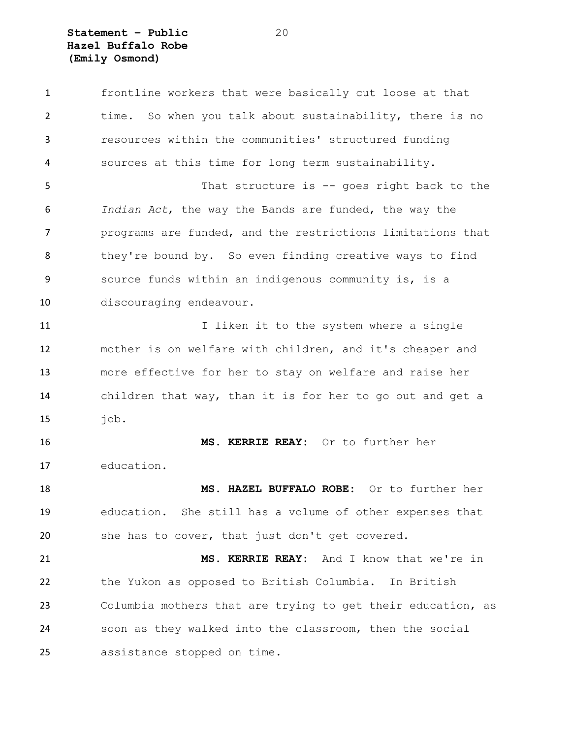**Statement – Public** 20 **Hazel Buffalo Robe (Emily Osmond)**

 frontline workers that were basically cut loose at that time. So when you talk about sustainability, there is no resources within the communities' structured funding sources at this time for long term sustainability. That structure is -- goes right back to the *Indian Act*, the way the Bands are funded, the way the programs are funded, and the restrictions limitations that 8 they're bound by. So even finding creative ways to find source funds within an indigenous community is, is a discouraging endeavour. 11 11 I liken it to the system where a single mother is on welfare with children, and it's cheaper and more effective for her to stay on welfare and raise her children that way, than it is for her to go out and get a job. **MS. KERRIE REAY:** Or to further her education. **MS. HAZEL BUFFALO ROBE:** Or to further her education. She still has a volume of other expenses that she has to cover, that just don't get covered. **MS. KERRIE REAY:** And I know that we're in the Yukon as opposed to British Columbia. In British Columbia mothers that are trying to get their education, as soon as they walked into the classroom, then the social assistance stopped on time.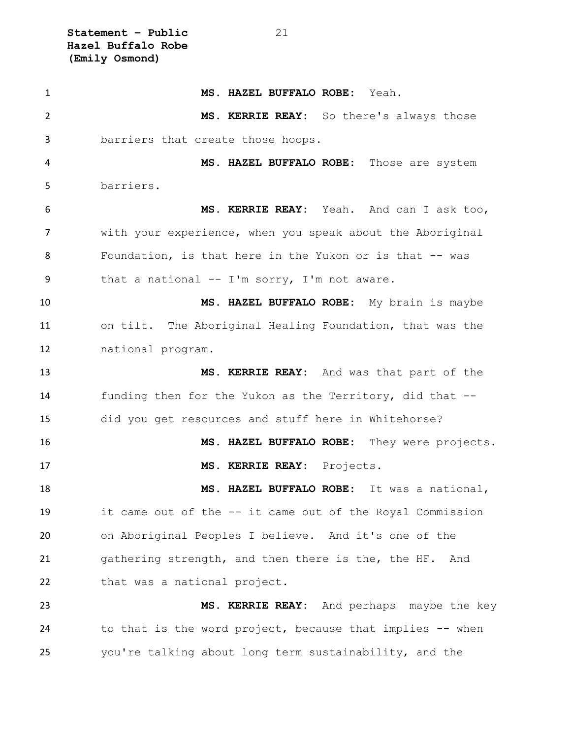**Statement – Public** 21 **Hazel Buffalo Robe (Emily Osmond)**

 **MS. HAZEL BUFFALO ROBE:** Yeah. **MS. KERRIE REAY:** So there's always those barriers that create those hoops. **MS. HAZEL BUFFALO ROBE:** Those are system barriers. **MS. KERRIE REAY:** Yeah. And can I ask too, with your experience, when you speak about the Aboriginal 8 Foundation, is that here in the Yukon or is that -- was that a national -- I'm sorry, I'm not aware. **MS. HAZEL BUFFALO ROBE:** My brain is maybe on tilt. The Aboriginal Healing Foundation, that was the national program. **MS. KERRIE REAY:** And was that part of the funding then for the Yukon as the Territory, did that -- did you get resources and stuff here in Whitehorse? **MS. HAZEL BUFFALO ROBE:** They were projects. **MS. KERRIE REAY:** Projects. **MS. HAZEL BUFFALO ROBE:** It was a national, it came out of the -- it came out of the Royal Commission on Aboriginal Peoples I believe. And it's one of the gathering strength, and then there is the, the HF. And 22 that was a national project. **MS. KERRIE REAY:** And perhaps maybe the key to that is the word project, because that implies -- when you're talking about long term sustainability, and the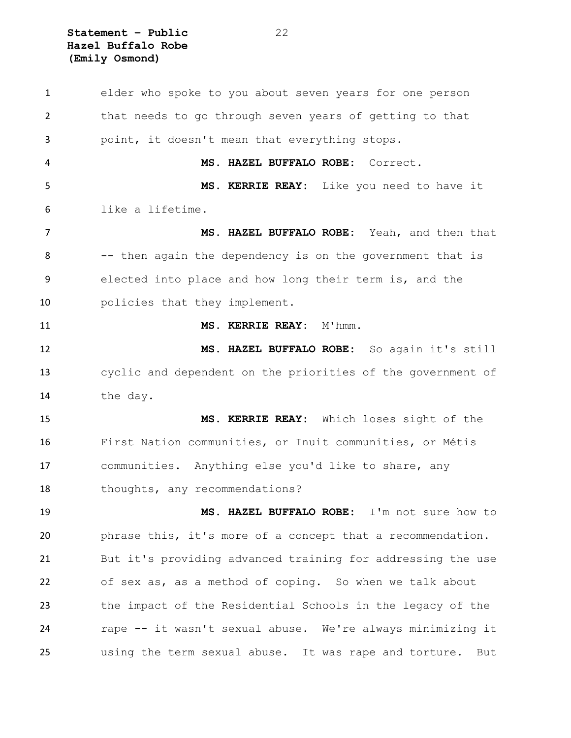**Statement – Public** 22 **Hazel Buffalo Robe (Emily Osmond)**

 elder who spoke to you about seven years for one person that needs to go through seven years of getting to that point, it doesn't mean that everything stops. **MS. HAZEL BUFFALO ROBE:** Correct. **MS. KERRIE REAY:** Like you need to have it like a lifetime. **MS. HAZEL BUFFALO ROBE:** Yeah, and then that -- then again the dependency is on the government that is elected into place and how long their term is, and the policies that they implement. **MS. KERRIE REAY:** M'hmm. **MS. HAZEL BUFFALO ROBE:** So again it's still cyclic and dependent on the priorities of the government of the day. **MS. KERRIE REAY:** Which loses sight of the First Nation communities, or Inuit communities, or Métis communities. Anything else you'd like to share, any 18 thoughts, any recommendations? **MS. HAZEL BUFFALO ROBE:** I'm not sure how to phrase this, it's more of a concept that a recommendation. But it's providing advanced training for addressing the use of sex as, as a method of coping. So when we talk about the impact of the Residential Schools in the legacy of the rape -- it wasn't sexual abuse. We're always minimizing it using the term sexual abuse. It was rape and torture. But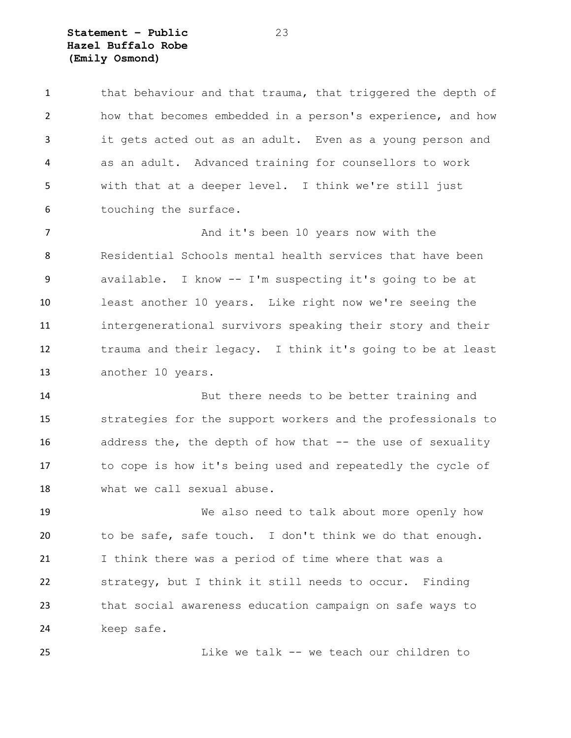**Statement – Public** 23 **Hazel Buffalo Robe (Emily Osmond)**

1 that behaviour and that trauma, that triggered the depth of how that becomes embedded in a person's experience, and how it gets acted out as an adult. Even as a young person and as an adult. Advanced training for counsellors to work with that at a deeper level. I think we're still just touching the surface.

7 And it's been 10 years now with the Residential Schools mental health services that have been available. I know -- I'm suspecting it's going to be at least another 10 years. Like right now we're seeing the intergenerational survivors speaking their story and their trauma and their legacy. I think it's going to be at least another 10 years.

 But there needs to be better training and strategies for the support workers and the professionals to 16 address the, the depth of how that -- the use of sexuality to cope is how it's being used and repeatedly the cycle of what we call sexual abuse.

 We also need to talk about more openly how to be safe, safe touch. I don't think we do that enough. I think there was a period of time where that was a strategy, but I think it still needs to occur. Finding that social awareness education campaign on safe ways to keep safe.

Like we talk -- we teach our children to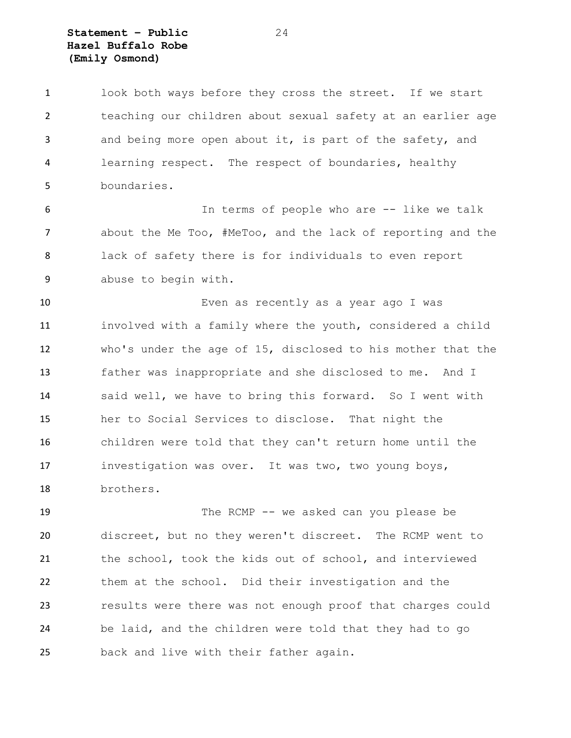# **Statement – Public** 24 **Hazel Buffalo Robe (Emily Osmond)**

 look both ways before they cross the street. If we start teaching our children about sexual safety at an earlier age and being more open about it, is part of the safety, and learning respect. The respect of boundaries, healthy boundaries.

 In terms of people who are -- like we talk about the Me Too, #MeToo, and the lack of reporting and the lack of safety there is for individuals to even report abuse to begin with.

 Even as recently as a year ago I was involved with a family where the youth, considered a child who's under the age of 15, disclosed to his mother that the father was inappropriate and she disclosed to me. And I said well, we have to bring this forward. So I went with her to Social Services to disclose. That night the children were told that they can't return home until the investigation was over. It was two, two young boys, brothers.

 The RCMP -- we asked can you please be discreet, but no they weren't discreet. The RCMP went to the school, took the kids out of school, and interviewed them at the school. Did their investigation and the results were there was not enough proof that charges could be laid, and the children were told that they had to go back and live with their father again.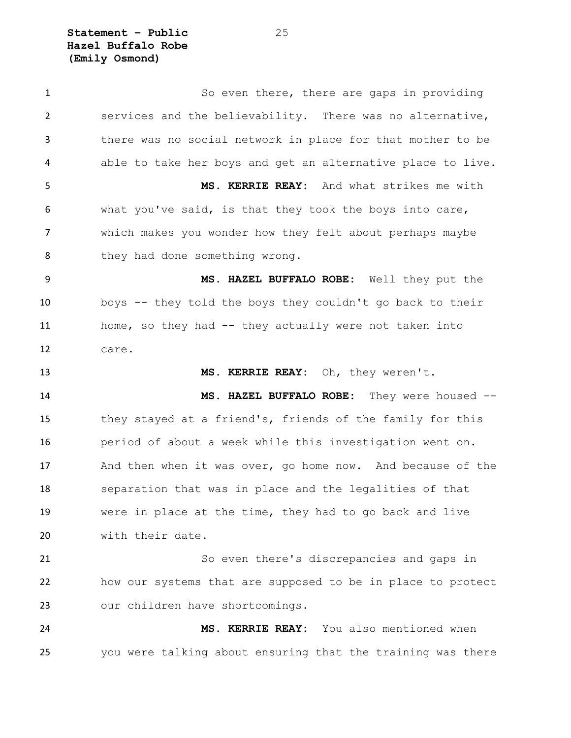**Statement – Public** 25 **Hazel Buffalo Robe (Emily Osmond)**

1 So even there, there are gaps in providing services and the believability. There was no alternative, there was no social network in place for that mother to be able to take her boys and get an alternative place to live. **MS. KERRIE REAY:** And what strikes me with what you've said, is that they took the boys into care, which makes you wonder how they felt about perhaps maybe 8 they had done something wrong. **MS. HAZEL BUFFALO ROBE:** Well they put the boys -- they told the boys they couldn't go back to their home, so they had -- they actually were not taken into care. **MS. KERRIE REAY:** Oh, they weren't. **MS. HAZEL BUFFALO ROBE:** They were housed -- they stayed at a friend's, friends of the family for this period of about a week while this investigation went on. And then when it was over, go home now. And because of the separation that was in place and the legalities of that were in place at the time, they had to go back and live with their date. So even there's discrepancies and gaps in how our systems that are supposed to be in place to protect our children have shortcomings. **MS. KERRIE REAY:** You also mentioned when you were talking about ensuring that the training was there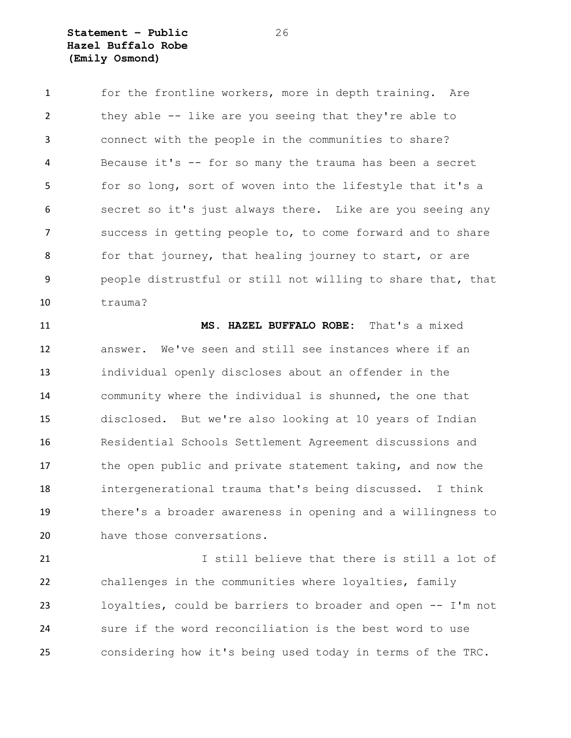**Statement – Public** 26 **Hazel Buffalo Robe (Emily Osmond)**

 for the frontline workers, more in depth training. Are they able -- like are you seeing that they're able to connect with the people in the communities to share? Because it's -- for so many the trauma has been a secret for so long, sort of woven into the lifestyle that it's a secret so it's just always there. Like are you seeing any success in getting people to, to come forward and to share 8 for that journey, that healing journey to start, or are people distrustful or still not willing to share that, that trauma?

 **MS. HAZEL BUFFALO ROBE:** That's a mixed answer. We've seen and still see instances where if an individual openly discloses about an offender in the community where the individual is shunned, the one that disclosed. But we're also looking at 10 years of Indian Residential Schools Settlement Agreement discussions and the open public and private statement taking, and now the intergenerational trauma that's being discussed. I think there's a broader awareness in opening and a willingness to have those conversations.

 I still believe that there is still a lot of challenges in the communities where loyalties, family loyalties, could be barriers to broader and open -- I'm not sure if the word reconciliation is the best word to use considering how it's being used today in terms of the TRC.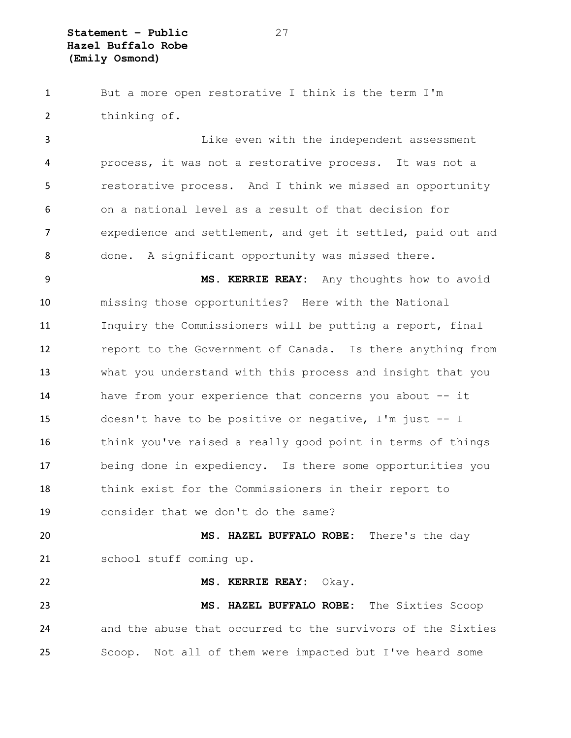**Statement – Public** 27 **Hazel Buffalo Robe (Emily Osmond)**

 But a more open restorative I think is the term I'm thinking of. Like even with the independent assessment process, it was not a restorative process. It was not a restorative process. And I think we missed an opportunity on a national level as a result of that decision for expedience and settlement, and get it settled, paid out and done. A significant opportunity was missed there. **MS. KERRIE REAY:** Any thoughts how to avoid missing those opportunities? Here with the National Inquiry the Commissioners will be putting a report, final 12 report to the Government of Canada. Is there anything from what you understand with this process and insight that you have from your experience that concerns you about -- it doesn't have to be positive or negative, I'm just -- I think you've raised a really good point in terms of things being done in expediency. Is there some opportunities you think exist for the Commissioners in their report to consider that we don't do the same? **MS. HAZEL BUFFALO ROBE:** There's the day school stuff coming up. **MS. KERRIE REAY:** Okay. **MS. HAZEL BUFFALO ROBE:** The Sixties Scoop and the abuse that occurred to the survivors of the Sixties Scoop. Not all of them were impacted but I've heard some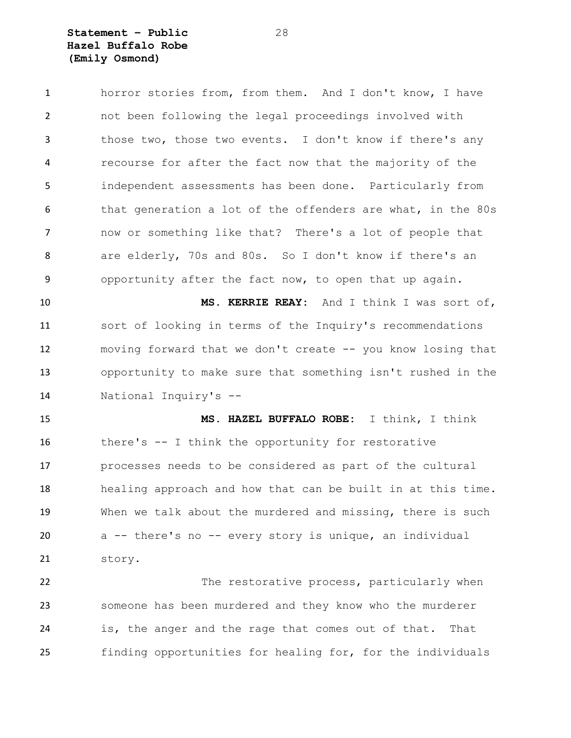**Statement – Public** 28 **Hazel Buffalo Robe (Emily Osmond)**

 horror stories from, from them. And I don't know, I have not been following the legal proceedings involved with those two, those two events. I don't know if there's any recourse for after the fact now that the majority of the independent assessments has been done. Particularly from that generation a lot of the offenders are what, in the 80s now or something like that? There's a lot of people that are elderly, 70s and 80s. So I don't know if there's an opportunity after the fact now, to open that up again.

 **MS. KERRIE REAY:** And I think I was sort of, sort of looking in terms of the Inquiry's recommendations moving forward that we don't create -- you know losing that opportunity to make sure that something isn't rushed in the National Inquiry's --

 **MS. HAZEL BUFFALO ROBE:** I think, I think there's -- I think the opportunity for restorative processes needs to be considered as part of the cultural healing approach and how that can be built in at this time. When we talk about the murdered and missing, there is such a -- there's no -- every story is unique, an individual story.

 The restorative process, particularly when someone has been murdered and they know who the murderer is, the anger and the rage that comes out of that. That finding opportunities for healing for, for the individuals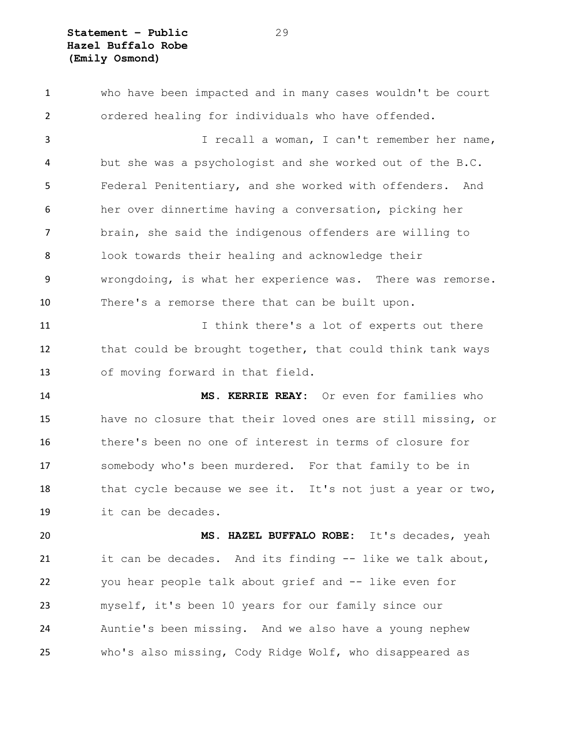who have been impacted and in many cases wouldn't be court ordered healing for individuals who have offended. I recall a woman, I can't remember her name, but she was a psychologist and she worked out of the B.C. Federal Penitentiary, and she worked with offenders. And her over dinnertime having a conversation, picking her brain, she said the indigenous offenders are willing to look towards their healing and acknowledge their wrongdoing, is what her experience was. There was remorse. There's a remorse there that can be built upon. 11 11 I think there's a lot of experts out there 12 that could be brought together, that could think tank ways of moving forward in that field. **MS. KERRIE REAY:** Or even for families who have no closure that their loved ones are still missing, or there's been no one of interest in terms of closure for somebody who's been murdered. For that family to be in 18 that cycle because we see it. It's not just a year or two, it can be decades. **MS. HAZEL BUFFALO ROBE:** It's decades, yeah it can be decades. And its finding -- like we talk about, you hear people talk about grief and -- like even for myself, it's been 10 years for our family since our Auntie's been missing. And we also have a young nephew who's also missing, Cody Ridge Wolf, who disappeared as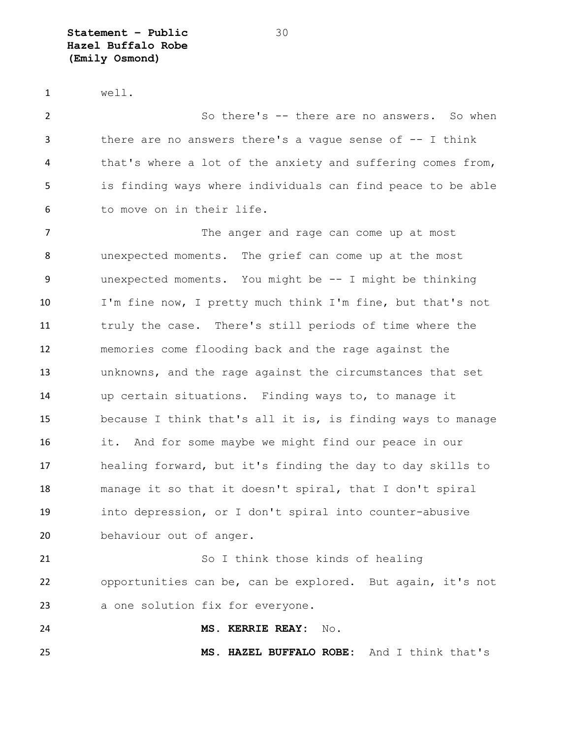**Statement – Public** 30 **Hazel Buffalo Robe (Emily Osmond)**

well.

 So there's -- there are no answers. So when there are no answers there's a vague sense of -- I think that's where a lot of the anxiety and suffering comes from, is finding ways where individuals can find peace to be able to move on in their life.

7 The anger and rage can come up at most unexpected moments. The grief can come up at the most unexpected moments. You might be -- I might be thinking I'm fine now, I pretty much think I'm fine, but that's not truly the case. There's still periods of time where the memories come flooding back and the rage against the unknowns, and the rage against the circumstances that set up certain situations. Finding ways to, to manage it because I think that's all it is, is finding ways to manage it. And for some maybe we might find our peace in our healing forward, but it's finding the day to day skills to manage it so that it doesn't spiral, that I don't spiral into depression, or I don't spiral into counter-abusive behaviour out of anger.

21 So I think those kinds of healing opportunities can be, can be explored. But again, it's not a one solution fix for everyone.

**MS. KERRIE REAY:** No.

**MS. HAZEL BUFFALO ROBE:** And I think that's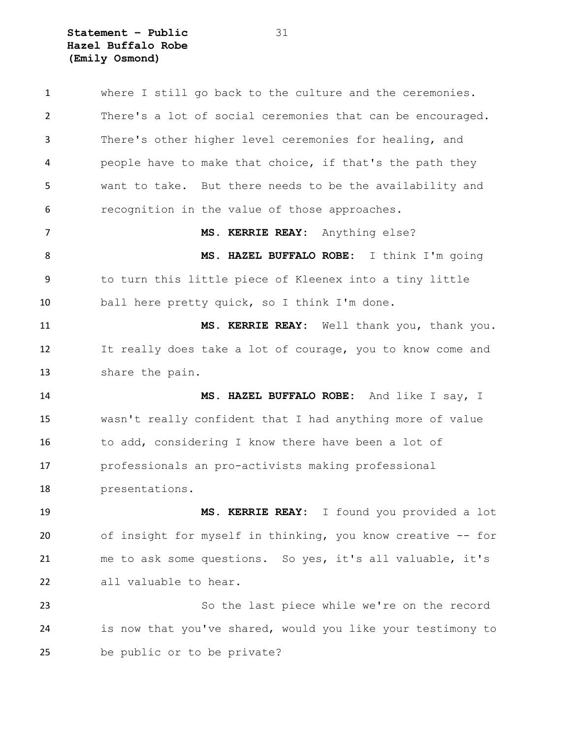**Statement – Public** 31 **Hazel Buffalo Robe (Emily Osmond)**

 where I still go back to the culture and the ceremonies. There's a lot of social ceremonies that can be encouraged. There's other higher level ceremonies for healing, and people have to make that choice, if that's the path they want to take. But there needs to be the availability and recognition in the value of those approaches. **MS. KERRIE REAY:** Anything else? **MS. HAZEL BUFFALO ROBE:** I think I'm going to turn this little piece of Kleenex into a tiny little ball here pretty quick, so I think I'm done. **MS. KERRIE REAY:** Well thank you, thank you. It really does take a lot of courage, you to know come and share the pain. **MS. HAZEL BUFFALO ROBE:** And like I say, I wasn't really confident that I had anything more of value to add, considering I know there have been a lot of professionals an pro-activists making professional presentations. **MS. KERRIE REAY:** I found you provided a lot of insight for myself in thinking, you know creative -- for me to ask some questions. So yes, it's all valuable, it's all valuable to hear. So the last piece while we're on the record is now that you've shared, would you like your testimony to be public or to be private?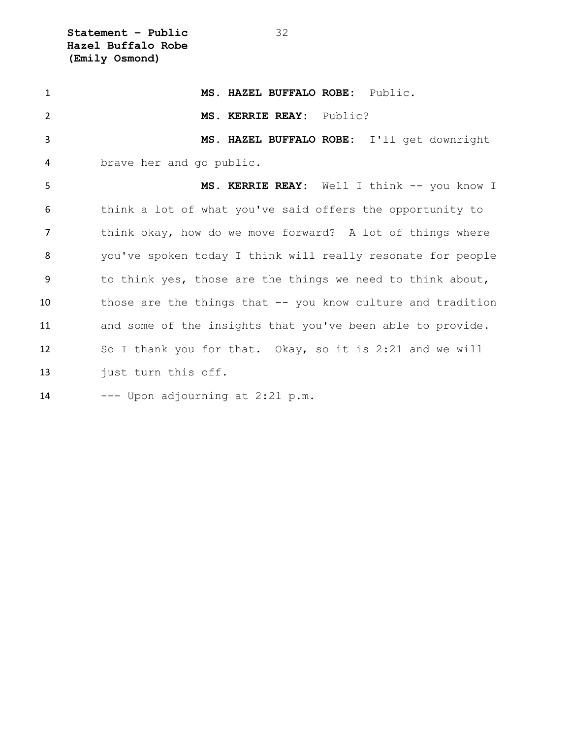**Statement – Public** 32 **Hazel Buffalo Robe (Emily Osmond)**

| $\mathbf{1}$   | MS. HAZEL BUFFALO ROBE: Public.                             |
|----------------|-------------------------------------------------------------|
| $\overline{2}$ | MS. KERRIE REAY: Public?                                    |
| 3              | MS. HAZEL BUFFALO ROBE: I'll get downright                  |
| 4              | brave her and go public.                                    |
| 5              | MS. KERRIE REAY: Well I think -- you know I                 |
| 6              | think a lot of what you've said offers the opportunity to   |
| $\overline{7}$ | think okay, how do we move forward? A lot of things where   |
| 8              | you've spoken today I think will really resonate for people |
| -9             | to think yes, those are the things we need to think about,  |
| 10             | those are the things that -- you know culture and tradition |
| 11             | and some of the insights that you've been able to provide.  |
| 12             | So I thank you for that. Okay, so it is 2:21 and we will    |
| 13             | just turn this off.                                         |
| 14             | --- Upon adjourning at 2:21 p.m.                            |